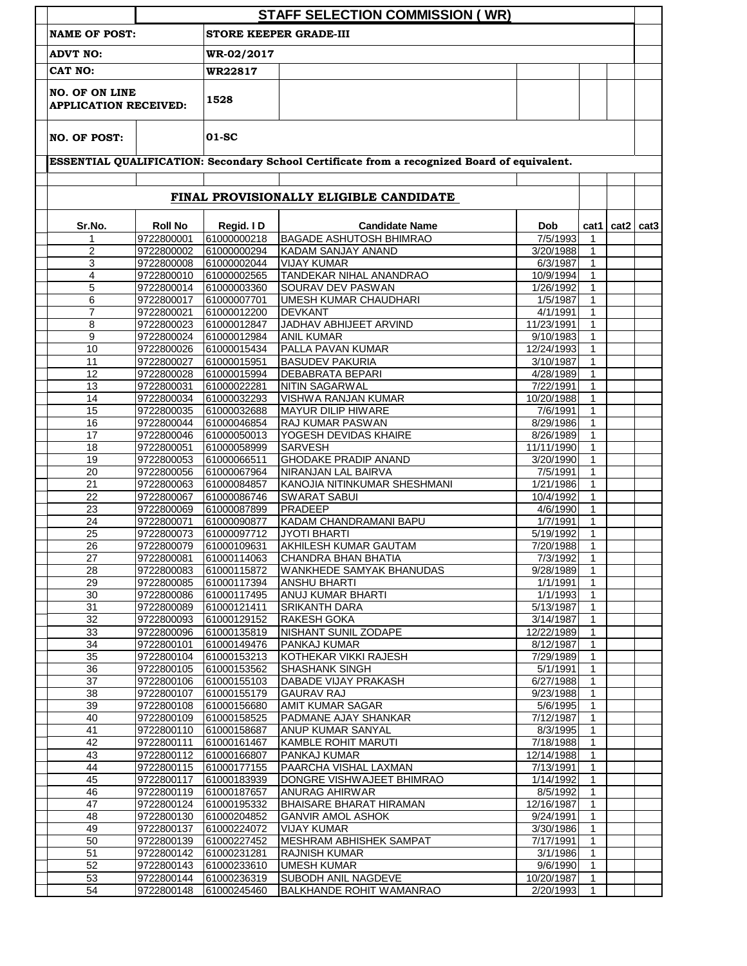|                                                                              |                          |                               | <b>STAFF SELECTION COMMISSION (WR)</b>                                                       |                         |                              |      |                  |
|------------------------------------------------------------------------------|--------------------------|-------------------------------|----------------------------------------------------------------------------------------------|-------------------------|------------------------------|------|------------------|
| <b>NAME OF POST:</b>                                                         |                          | <b>STORE KEEPER GRADE-III</b> |                                                                                              |                         |                              |      |                  |
| <b>ADVT NO:</b>                                                              |                          | WR-02/2017                    |                                                                                              |                         |                              |      |                  |
| <b>CAT NO:</b>                                                               |                          | WR22817                       |                                                                                              |                         |                              |      |                  |
| <b>NO. OF ON LINE</b><br><b>APPLICATION RECEIVED:</b><br><b>NO. OF POST:</b> |                          | 1528                          |                                                                                              |                         |                              |      |                  |
|                                                                              |                          | 01-SC                         |                                                                                              |                         |                              |      |                  |
|                                                                              |                          |                               | ESSENTIAL QUALIFICATION: Secondary School Certificate from a recognized Board of equivalent. |                         |                              |      |                  |
|                                                                              |                          |                               | FINAL PROVISIONALLY ELIGIBLE CANDIDATE                                                       |                         |                              |      |                  |
| Sr.No.                                                                       | <b>Roll No</b>           | Regid. ID                     | <b>Candidate Name</b>                                                                        | <b>Dob</b>              | cat1                         | cat2 | cat <sub>3</sub> |
| 1                                                                            | 9722800001               | 61000000218                   | <b>BAGADE ASHUTOSH BHIMRAO</b>                                                               | 7/5/1993                | $\mathbf{1}$                 |      |                  |
| $\overline{c}$                                                               | 9722800002               | 61000000294                   | KADAM SANJAY ANAND                                                                           | 3/20/1988               | 1                            |      |                  |
| 3                                                                            | 9722800008               | 61000002044                   | <b>VIJAY KUMAR</b>                                                                           | 6/3/1987                | 1                            |      |                  |
| 4                                                                            | 9722800010               | 61000002565                   | <b>TANDEKAR NIHAL ANANDRAO</b>                                                               | 10/9/1994               | $\mathbf{1}$                 |      |                  |
| 5                                                                            | 9722800014               | 61000003360                   | SOURAV DEV PASWAN                                                                            | 1/26/1992               | $\mathbf{1}$                 |      |                  |
| 6                                                                            | 9722800017               | 61000007701                   | <b>UMESH KUMAR CHAUDHARI</b>                                                                 | 1/5/1987                | $\mathbf{1}$                 |      |                  |
| $\overline{7}$                                                               | 9722800021               | 61000012200                   | DEVKANT                                                                                      | 4/1/1991                | $\mathbf{1}$                 |      |                  |
| 8<br>9                                                                       | 9722800023<br>9722800024 | 61000012847<br>61000012984    | JADHAV ABHIJEET ARVIND<br><b>ANIL KUMAR</b>                                                  | 11/23/1991<br>9/10/1983 | $\mathbf{1}$<br>$\mathbf{1}$ |      |                  |
| 10                                                                           | 9722800026               | 61000015434                   | PALLA PAVAN KUMAR                                                                            | 12/24/1993              | $\mathbf{1}$                 |      |                  |
| 11                                                                           | 9722800027               | 61000015951                   | <b>BASUDEV PAKURIA</b>                                                                       | 3/10/1987               | $\mathbf{1}$                 |      |                  |
| 12                                                                           | 9722800028               | 61000015994                   | <b>DEBABRATA BEPARI</b>                                                                      | 4/28/1989               | $\mathbf{1}$                 |      |                  |
| 13                                                                           | 9722800031               | 61000022281                   | NITIN SAGARWAL                                                                               | 7/22/1991               | $\mathbf{1}$                 |      |                  |
| 14                                                                           | 9722800034               | 61000032293                   | <b>VISHWA RANJAN KUMAR</b>                                                                   | 10/20/1988              | $\mathbf{1}$                 |      |                  |
| 15                                                                           | 9722800035               | 61000032688                   | MAYUR DILIP HIWARE                                                                           | 7/6/1991                | $\mathbf{1}$                 |      |                  |
| 16                                                                           | 9722800044               | 61000046854                   | RAJ KUMAR PASWAN                                                                             | 8/29/1986               | $\mathbf{1}$                 |      |                  |
| 17                                                                           | 9722800046               | 61000050013                   | YOGESH DEVIDAS KHAIRE                                                                        | 8/26/1989               | $\mathbf{1}$                 |      |                  |
| 18                                                                           | 9722800051               | 61000058999                   | <b>SARVESH</b>                                                                               | 11/11/1990              | $\mathbf{1}$                 |      |                  |
| 19                                                                           | 9722800053               | 61000066511                   | <b>GHODAKE PRADIP ANAND</b>                                                                  | 3/20/1990               | $\mathbf{1}$                 |      |                  |
| 20                                                                           | 9722800056               | 61000067964                   | NIRANJAN LAL BAIRVA                                                                          | 7/5/1991                | $\mathbf{1}$                 |      |                  |
| $\overline{21}$                                                              | 9722800063               | 61000084857                   | KANOJIA NITINKUMAR SHESHMANI                                                                 | 1/21/1986               | $\mathbf{1}$                 |      |                  |
| 22                                                                           | 9722800067               | 61000086746                   | <b>SWARAT SABUI</b>                                                                          | 10/4/1992               | $\mathbf{1}$                 |      |                  |
| $\overline{23}$                                                              | 9722800069<br>9722800071 | 61000087899                   | PRADEEP                                                                                      | 4/6/1990                | $\mathbf{1}$                 |      |                  |
| 24                                                                           | 9722800073               | 61000090877<br>61000097712    | KADAM CHANDRAMANI BAPU<br><b>JYOTI BHARTI</b>                                                | 1/7/1991<br>5/19/1992   | $\mathbf{1}$<br>$\mathbf{1}$ |      |                  |
| 25<br>26                                                                     | 9722800079               | 61000109631                   | AKHILESH KUMAR GAUTAM                                                                        | 7/20/1988               | $\mathbf{1}$                 |      |                  |
| 27                                                                           | 9722800081               | 61000114063                   | CHANDRA BHAN BHATIA                                                                          | 7/3/1992                | $\mathbf{1}$                 |      |                  |
| 28                                                                           | 9722800083               | 61000115872                   | <b>WANKHEDE SAMYAK BHANUDAS</b>                                                              | 9/28/1989               | $\mathbf{1}$                 |      |                  |
| 29                                                                           | 9722800085               | 61000117394                   | <b>ANSHU BHARTI</b>                                                                          | 1/1/1991                | $\mathbf{1}$                 |      |                  |
| 30                                                                           | 9722800086               | 61000117495                   | ANUJ KUMAR BHARTI                                                                            | 1/1/1993                | $\mathbf{1}$                 |      |                  |
| 31                                                                           | 9722800089               | 61000121411                   | <b>SRIKANTH DARA</b>                                                                         | 5/13/1987               | $\mathbf{1}$                 |      |                  |
| 32                                                                           | 9722800093               | 61000129152                   | RAKESH GOKA                                                                                  | 3/14/1987               | $\mathbf{1}$                 |      |                  |
| 33                                                                           | 9722800096               | 61000135819                   | NISHANT SUNIL ZODAPE                                                                         | 12/22/1989              | $\mathbf{1}$                 |      |                  |
| 34                                                                           | 9722800101               | 61000149476                   | <b>PANKAJ KUMAR</b>                                                                          | 8/12/1987               | $\mathbf{1}$                 |      |                  |
| 35                                                                           | 9722800104               | 61000153213                   | KOTHEKAR VIKKI RAJESH                                                                        | 7/29/1989               | $\mathbf{1}$                 |      |                  |
| 36                                                                           | 9722800105               | 61000153562                   | <b>SHASHANK SINGH</b>                                                                        | 5/1/1991                | $\mathbf{1}$                 |      |                  |
| 37                                                                           | 9722800106               | 61000155103                   | DABADE VIJAY PRAKASH                                                                         | 6/27/1988               | $\mathbf{1}$                 |      |                  |
| 38                                                                           | 9722800107               | 61000155179                   | <b>GAURAV RAJ</b>                                                                            | 9/23/1988               | $\mathbf{1}$                 |      |                  |
| 39                                                                           | 9722800108               | 61000156680                   | <b>AMIT KUMAR SAGAR</b>                                                                      | 5/6/1995                | $\mathbf{1}$                 |      |                  |
| 40                                                                           | 9722800109               | 61000158525                   | PADMANE AJAY SHANKAR                                                                         | 7/12/1987               | 1                            |      |                  |
| 41<br>42                                                                     | 9722800110<br>9722800111 | 61000158687<br>61000161467    | ANUP KUMAR SANYAL<br>KAMBLE ROHIT MARUTI                                                     | 8/3/1995<br>7/18/1988   | $\mathbf{1}$<br>$\mathbf{1}$ |      |                  |
| 43                                                                           | 9722800112               | 61000166807                   | PANKAJ KUMAR                                                                                 | 12/14/1988              | 1                            |      |                  |
| 44                                                                           | 9722800115               | 61000177155                   | PAARCHA VISHAL LAXMAN                                                                        | 7/13/1991               | $\mathbf 1$                  |      |                  |
| 45                                                                           | 9722800117               | 61000183939                   | DONGRE VISHWAJEET BHIMRAO                                                                    | 1/14/1992               | $\mathbf{1}$                 |      |                  |
| 46                                                                           | 9722800119               | 61000187657                   | ANURAG AHIRWAR                                                                               | 8/5/1992                | $\mathbf{1}$                 |      |                  |
| 47                                                                           | 9722800124               | 61000195332                   | BHAISARE BHARAT HIRAMAN                                                                      | 12/16/1987              | $\mathbf 1$                  |      |                  |
| 48                                                                           | 9722800130               | 61000204852                   | <b>GANVIR AMOL ASHOK</b>                                                                     | 9/24/1991               | $\mathbf 1$                  |      |                  |
| 49                                                                           | 9722800137               | 61000224072                   | <b>VIJAY KUMAR</b>                                                                           | 3/30/1986               | 1                            |      |                  |
| 50                                                                           | 9722800139               | 61000227452                   | MESHRAM ABHISHEK SAMPAT                                                                      | 7/17/1991               | $\mathbf 1$                  |      |                  |
| 51                                                                           | 9722800142               | 61000231281                   | <b>RAJNISH KUMAR</b>                                                                         | 3/1/1986                | $\mathbf{1}$                 |      |                  |
| 52                                                                           | 9722800143               | 61000233610                   | <b>UMESH KUMAR</b>                                                                           | 9/6/1990                | $\mathbf{1}$                 |      |                  |
| 53                                                                           | 9722800144               | 61000236319                   | <b>SUBODH ANIL NAGDEVE</b>                                                                   | 10/20/1987              | 1                            |      |                  |
| 54                                                                           | 9722800148               | 61000245460                   | <b>BALKHANDE ROHIT WAMANRAO</b>                                                              | 2/20/1993               | $\mathbf{1}$                 |      |                  |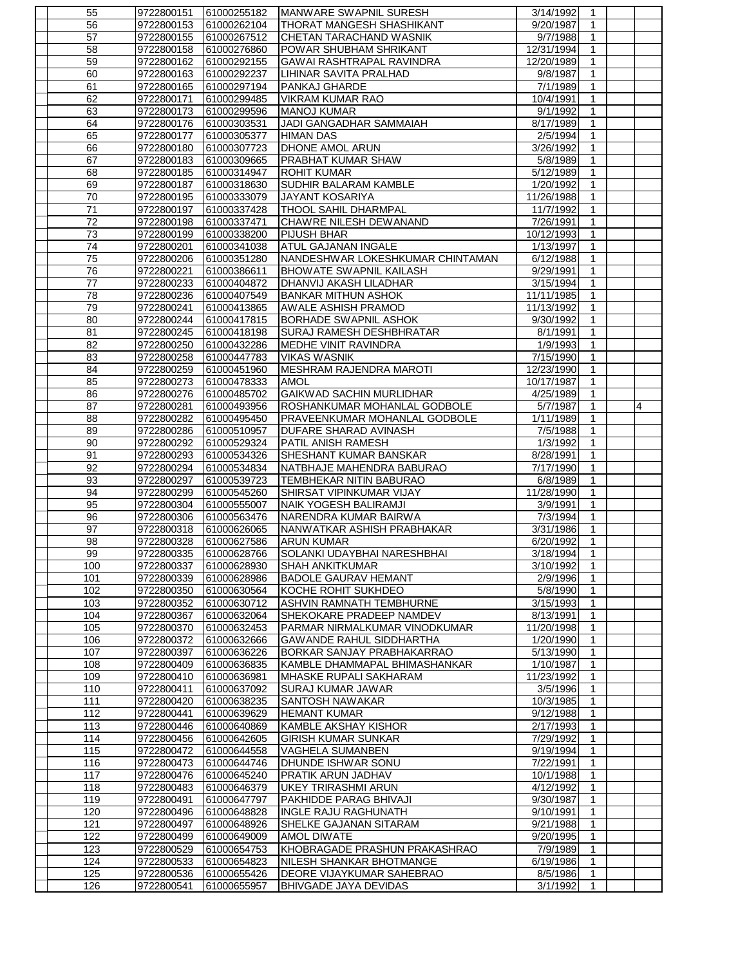| 55              | 9722800151               | 61000255182                | MANWARE SWAPNIL SURESH                                           | 3/14/1992              | 1                            |   |
|-----------------|--------------------------|----------------------------|------------------------------------------------------------------|------------------------|------------------------------|---|
| 56              | 9722800153               | 61000262104                | THORAT MANGESH SHASHIKANT                                        | 9/20/1987              | 1                            |   |
| 57              | 9722800155               | 61000267512                | CHETAN TARACHAND WASNIK                                          | 9/7/1988               | 1                            |   |
| 58              | 9722800158               | 61000276860                | POWAR SHUBHAM SHRIKANT                                           | 12/31/1994             | $\mathbf{1}$                 |   |
| 59              | 9722800162               | 61000292155                | GAWAI RASHTRAPAL RAVINDRA                                        | 12/20/1989             | 1                            |   |
| 60              | 9722800163               | 61000292237                | LIHINAR SAVITA PRALHAD                                           | 9/8/1987               | 1                            |   |
| 61              | 9722800165               | 61000297194                | PANKAJ GHARDE                                                    | 7/1/1989               | $\mathbf{1}$                 |   |
| 62              | 9722800171               | 61000299485                | <b>VIKRAM KUMAR RAO</b>                                          | 10/4/1991              | 1                            |   |
| 63<br>64        | 9722800173<br>9722800176 | 61000299596<br>61000303531 | <b>MANOJ KUMAR</b><br>JADI GANGADHAR SAMMAIAH                    | 9/1/1992<br>8/17/1989  | 1                            |   |
| 65              | 9722800177               | 61000305377                | <b>HIMAN DAS</b>                                                 | 2/5/1994               | $\mathbf{1}$<br>$\mathbf{1}$ |   |
| 66              | 9722800180               | 61000307723                | DHONE AMOL ARUN                                                  | 3/26/1992              | 1                            |   |
| 67              | 9722800183               | 61000309665                | PRABHAT KUMAR SHAW                                               | 5/8/1989               | $\mathbf{1}$                 |   |
| 68              | 9722800185               | 61000314947                | <b>ROHIT KUMAR</b>                                               | 5/12/1989              | $\mathbf{1}$                 |   |
| 69              | 9722800187               | 61000318630                | SUDHIR BALARAM KAMBLE                                            | 1/20/1992              | $\mathbf{1}$                 |   |
| 70              | 9722800195               | 61000333079                | <b>JAYANT KOSARIYA</b>                                           | 11/26/1988             | $\mathbf{1}$                 |   |
| $\overline{71}$ | 9722800197               | 61000337428                | <b>THOOL SAHIL DHARMPAL</b>                                      | 11/7/1992              | $\mathbf{1}$                 |   |
| 72              | 9722800198               | 61000337471                | CHAWRE NILESH DEWANAND                                           | 7/26/1991              | $\mathbf{1}$                 |   |
| 73              | 9722800199               | 61000338200                | <b>PIJUSH BHAR</b>                                               | 10/12/1993             | 1                            |   |
| 74              | 9722800201               | 61000341038                | ATUL GAJANAN INGALE                                              | 1/13/1997              | $\mathbf{1}$                 |   |
| 75              | 9722800206               | 61000351280                | NANDESHWAR LOKESHKUMAR CHINTAMAN                                 | 6/12/1988              | $\mathbf{1}$                 |   |
| 76<br>77        | 9722800221<br>9722800233 | 61000386611<br>61000404872 | BHOWATE SWAPNIL KAILASH<br>DHANVIJ AKASH LILADHAR                | 9/29/1991<br>3/15/1994 | $\mathbf{1}$<br>$\mathbf{1}$ |   |
| 78              | 9722800236               | 61000407549                | <b>BANKAR MITHUN ASHOK</b>                                       | 11/11/1985             | 1                            |   |
| 79              | 9722800241               | 61000413865                | AWALE ASHISH PRAMOD                                              | 11/13/1992             | $\mathbf{1}$                 |   |
| 80              | 9722800244               | 61000417815                | <b>BORHADE SWAPNIL ASHOK</b>                                     | 9/30/1992              | $\mathbf{1}$                 |   |
| 81              | 9722800245               | 61000418198                | SURAJ RAMESH DESHBHRATAR                                         | 8/1/1991               | 1                            |   |
| 82              | 9722800250               | 61000432286                | MEDHE VINIT RAVINDRA                                             | 1/9/1993               | $\mathbf{1}$                 |   |
| 83              | 9722800258               | 61000447783                | <b>VIKAS WASNIK</b>                                              | 7/15/1990              | $\mathbf{1}$                 |   |
| 84              | 9722800259               | 61000451960                | MESHRAM RAJENDRA MAROTI                                          | 12/23/1990             | 1                            |   |
| 85              | 9722800273               | 61000478333                | <b>AMOL</b>                                                      | 10/17/1987             | 1                            |   |
| 86              | 9722800276               | 61000485702                | <b>GAIKWAD SACHIN MURLIDHAR</b>                                  | 4/25/1989              | $\mathbf{1}$                 |   |
| 87              | 9722800281               | 61000493956                | ROSHANKUMAR MOHANLAL GODBOLE                                     | 5/7/1987               | $\mathbf{1}$                 | 4 |
| 88<br>89        | 9722800282<br>9722800286 | 61000495450<br>61000510957 | PRAVEENKUMAR MOHANLAL GODBOLE<br><b>DUFARE SHARAD AVINASH</b>    | 1/11/1989<br>7/5/1988  | $\mathbf{1}$<br>$\mathbf{1}$ |   |
|                 |                          |                            |                                                                  |                        |                              |   |
|                 |                          |                            |                                                                  |                        |                              |   |
| 90              | 9722800292               | 61000529324                | PATIL ANISH RAMESH                                               | 1/3/1992               | $\mathbf{1}$                 |   |
| 91              | 9722800293               | 61000534326                | SHESHANT KUMAR BANSKAR                                           | 8/28/1991              | 1<br>1                       |   |
| 92<br>93        | 9722800294<br>9722800297 | 61000534834<br>61000539723 | NATBHAJE MAHENDRA BABURAO<br>TEMBHEKAR NITIN BABURAO             | 7/17/1990<br>6/8/1989  | $\mathbf{1}$                 |   |
| 94              | 9722800299               | 61000545260                | SHIRSAT VIPINKUMAR VIJAY                                         | 11/28/1990             | $\mathbf{1}$                 |   |
| 95              | 9722800304               | 61000555007                | NAIK YOGESH BALIRAMJI                                            | 3/9/1991               | 1                            |   |
| 96              | 9722800306               | 61000563476                | NARENDRA KUMAR BAIRWA                                            | 7/3/1994               | $\mathbf{1}$                 |   |
| 97              | 9722800318               | 61000626065                | NANWATKAR ASHISH PRABHAKAR                                       | 3/31/1986              | 1                            |   |
| 98              | 9722800328               | 61000627586                | <b>ARUN KUMAR</b>                                                | 6/20/1992              | $\mathbf{1}$                 |   |
| 99              | 9722800335               | 61000628766                | SOLANKI UDAYBHAI NARESHBHAI                                      | 3/18/1994              | $\mathbf{1}$                 |   |
| 100             | 9722800337               | 61000628930                | <b>SHAH ANKITKUMAR</b>                                           | 3/10/1992              | 1<br>1                       |   |
| 101             | 9722800339               | 61000628986<br>61000630564 | <b>BADOLE GAURAV HEMANT</b>                                      | 2/9/1996<br>5/8/1990   | 1                            |   |
| 102<br>103      | 9722800350<br>9722800352 | 61000630712                | KOCHE ROHIT SUKHDEO<br>ASHVIN RAMNATH TEMBHURNE                  | 3/15/1993              | 1                            |   |
| 104             | 9722800367               | 61000632064                | SHEKOKARE PRADEEP NAMDEV                                         | 8/13/1991              | $\mathbf{1}$                 |   |
| 105             | 9722800370               | 61000632453                | PARMAR NIRMALKUMAR VINODKUMAR                                    | 11/20/1998             | 1                            |   |
| 106             | 9722800372               | 61000632666                | GAWANDE RAHUL SIDDHARTHA                                         | 1/20/1990              | 1                            |   |
| 107             | 9722800397               | 61000636226                | BORKAR SANJAY PRABHAKARRAO                                       | 5/13/1990              | $\mathbf{1}$                 |   |
| 108             | 9722800409               | 61000636835                | KAMBLE DHAMMAPAL BHIMASHANKAR                                    | 1/10/1987              | 1                            |   |
| 109             | 9722800410               | 61000636981                | MHASKE RUPALI SAKHARAM                                           | 11/23/1992             | 1                            |   |
| 110             | 9722800411               | 61000637092                | SURAJ KUMAR JAWAR                                                | 3/5/1996               | 1                            |   |
| 111             | 9722800420               | 61000638235                | <b>SANTOSH NAWAKAR</b>                                           | 10/3/1985              | 1                            |   |
| 112<br>113      | 9722800441<br>9722800446 | 61000639629<br>61000640869 | <b>HEMANT KUMAR</b><br>KAMBLE AKSHAY KISHOR                      | 9/12/1988<br>2/17/1993 | 1<br>1                       |   |
| 114             | 9722800456               | 61000642605                | <b>GIRISH KUMAR SUNKAR</b>                                       | 7/29/1992              | 1                            |   |
| 115             | 9722800472               | 61000644558                | VAGHELA SUMANBEN                                                 | 9/19/1994              | $\mathbf{1}$                 |   |
| 116             | 9722800473               | 61000644746                | DHUNDE ISHWAR SONU                                               | 7/22/1991              | 1                            |   |
| 117             | 9722800476               | 61000645240                | PRATIK ARUN JADHAV                                               | 10/1/1988              | 1                            |   |
| 118             | 9722800483               | 61000646379                | <b>UKEY TRIRASHMI ARUN</b>                                       | 4/12/1992              | $\mathbf{1}$                 |   |
| 119             | 9722800491               | 61000647797                | PAKHIDDE PARAG BHIVAJI                                           | 9/30/1987              | 1                            |   |
| 120             | 9722800496               | 61000648828                | <b>INGLE RAJU RAGHUNATH</b>                                      | 9/10/1991              | 1                            |   |
| 121             | 9722800497               | 61000648926                | SHELKE GAJANAN SITARAM                                           | 9/21/1988              | $\mathbf{1}$                 |   |
| 122             | 9722800499               | 61000649009                | <b>AMOL DIWATE</b>                                               | 9/20/1995              | 1<br>1                       |   |
| 123<br>124      | 9722800529<br>9722800533 | 61000654753<br>61000654823 | KHOBRAGADE PRASHUN PRAKASHRAO<br><b>NILESH SHANKAR BHOTMANGE</b> | 7/9/1989<br>6/19/1986  | $\mathbf{1}$                 |   |
| 125<br>126      | 9722800536               | 61000655426                | DEORE VIJAYKUMAR SAHEBRAO                                        | 8/5/1986               | 1                            |   |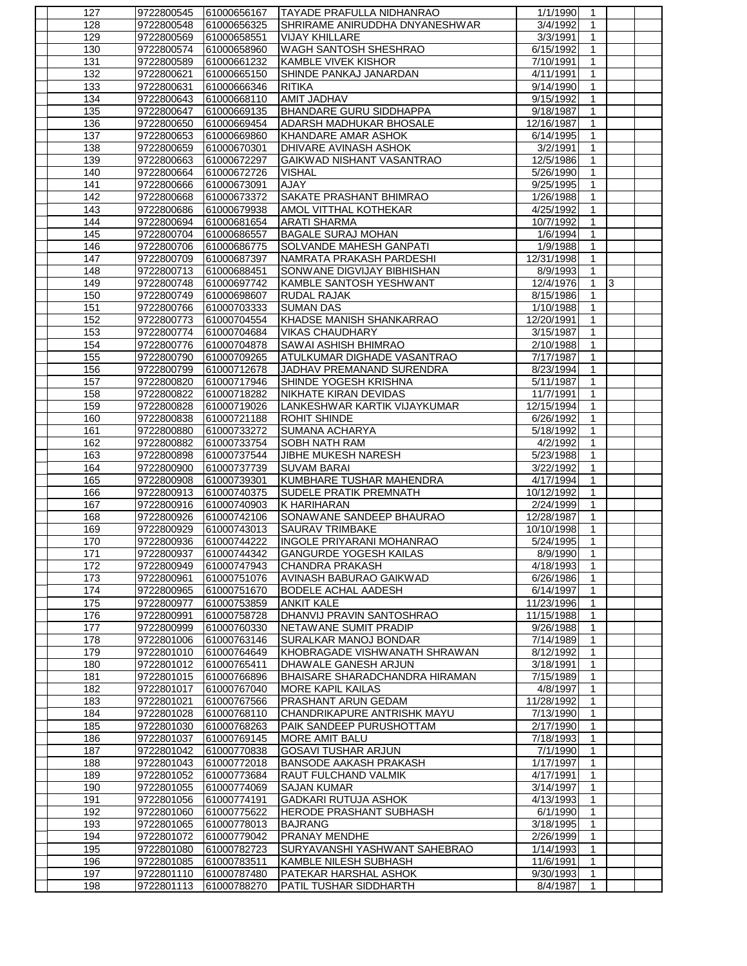| 127        | 9722800545               | 61000656167                | <b>TAYADE PRAFULLA NIDHANRAO</b>                      | 1/1/1990                | -1                |                |  |
|------------|--------------------------|----------------------------|-------------------------------------------------------|-------------------------|-------------------|----------------|--|
| 128        | 9722800548               | 61000656325                | SHRIRAME ANIRUDDHA DNYANESHWAR                        | 3/4/1992                | 1                 |                |  |
| 129        | 9722800569               | 61000658551                | <b>VIJAY KHILLARE</b>                                 | 3/3/1991                | 1                 |                |  |
| 130        | 9722800574               | 61000658960                | <b>WAGH SANTOSH SHESHRAO</b>                          | 6/15/1992               | $\mathbf{1}$      |                |  |
| 131        | 9722800589               | 61000661232                | KAMBLE VIVEK KISHOR                                   | 7/10/1991               | 1                 |                |  |
| 132        | 9722800621               | 61000665150                | SHINDE PANKAJ JANARDAN                                | 4/11/1991               | 1                 |                |  |
| 133        | 9722800631               | 61000666346                | <b>RITIKA</b>                                         | 9/14/1990               | $\mathbf{1}$      |                |  |
| 134        | 9722800643               | 61000668110                | AMIT JADHAV                                           | 9/15/1992               | $\mathbf{1}$      |                |  |
| 135        | 9722800647               | 61000669135                | <b>BHANDARE GURU SIDDHAPPA</b>                        | 9/18/1987               | 1<br>1            |                |  |
| 136<br>137 | 9722800650<br>9722800653 | 61000669454<br>61000669860 | ADARSH MADHUKAR BHOSALE<br><b>KHANDARE AMAR ASHOK</b> | 12/16/1987<br>6/14/1995 | $\mathbf{1}$      |                |  |
| 138        | 9722800659               | 61000670301                | <b>DHIVARE AVINASH ASHOK</b>                          | 3/2/1991                | $\mathbf{1}$      |                |  |
| 139        | 9722800663               | 61000672297                | GAIKWAD NISHANT VASANTRAO                             | 12/5/1986               | $\mathbf{1}$      |                |  |
| 140        | 9722800664               | 61000672726                | <b>VISHAL</b>                                         | 5/26/1990               | $\mathbf{1}$      |                |  |
| 141        | 9722800666               | 61000673091                | AJAY                                                  | 9/25/1995               | 1                 |                |  |
| 142        | 9722800668               | 61000673372                | SAKATE PRASHANT BHIMRAO                               | 1/26/1988               | $\mathbf{1}$      |                |  |
| 143        | 9722800686               | 61000679938                | AMOL VITTHAL KOTHEKAR                                 | 4/25/1992               | $\mathbf{1}$      |                |  |
| 144        | 9722800694               | 61000681654                | <b>ARATI SHARMA</b>                                   | 10/7/1992               | 1                 |                |  |
| 145        | 9722800704               | 61000686557                | <b>BAGALE SURAJ MOHAN</b>                             | 1/6/1994                | $\mathbf{1}$      |                |  |
| 146        | 9722800706               | 61000686775                | SOLVANDE MAHESH GANPATI                               | 1/9/1988                | $\mathbf{1}$      |                |  |
| 147        | 9722800709               | 61000687397                | INAMRATA PRAKASH PARDESHI                             | 12/31/1998              | 1                 |                |  |
| 148        | 9722800713               | 61000688451                | SONWANE DIGVIJAY BIBHISHAN                            | 8/9/1993                | 1                 |                |  |
| 149        | 9722800748               | 61000697742                | KAMBLE SANTOSH YESHWANT                               | 12/4/1976               | $\mathbf{1}$      | $\overline{3}$ |  |
| 150<br>151 | 9722800749               | 61000698607                | <b>RUDAL RAJAK</b><br><b>SUMAN DAS</b>                | 8/15/1986               | 1<br>$\mathbf{1}$ |                |  |
| 152        | 9722800766<br>9722800773 | 61000703333<br>61000704554 | KHADSE MANISH SHANKARRAO                              | 1/10/1988<br>12/20/1991 | $\mathbf{1}$      |                |  |
| 153        | 9722800774               | 61000704684                | <b>VIKAS CHAUDHARY</b>                                | 3/15/1987               | 1                 |                |  |
| 154        | 9722800776               | 61000704878                | SAWAI ASHISH BHIMRAO                                  | 2/10/1988               | $\mathbf{1}$      |                |  |
| 155        | 9722800790               | 61000709265                | ATULKUMAR DIGHADE VASANTRAO                           | 7/17/1987               | $\mathbf{1}$      |                |  |
| 156        | 9722800799               | 61000712678                | JADHAV PREMANAND SURENDRA                             | 8/23/1994               | $\mathbf{1}$      |                |  |
| 157        | 9722800820               | 61000717946                | SHINDE YOGESH KRISHNA                                 | 5/11/1987               | 1                 |                |  |
| 158        | 9722800822               | 61000718282                | NIKHATE KIRAN DEVIDAS                                 | 11/7/1991               | $\mathbf{1}$      |                |  |
| 159        | 9722800828               | 61000719026                | LANKESHWAR KARTIK VIJAYKUMAR                          | 12/15/1994              | $\mathbf{1}$      |                |  |
| 160        | 9722800838               | 61000721188                | <b>ROHIT SHINDE</b>                                   | 6/26/1992               | $\mathbf{1}$      |                |  |
| 161        | 9722800880               | 61000733272                | SUMANA ACHARYA                                        | 5/18/1992               | $\mathbf{1}$      |                |  |
| 162        | 9722800882               | 61000733754                | <b>SOBH NATH RAM</b>                                  | 4/2/1992                | $\mathbf{1}$      |                |  |
| 163<br>164 | 9722800898<br>9722800900 | 61000737544<br>61000737739 | JIBHE MUKESH NARESH<br><b>SUVAM BARAI</b>             | 5/23/1988<br>3/22/1992  | 1<br>1            |                |  |
| 165        | 9722800908               | 61000739301                | KUMBHARE TUSHAR MAHENDRA                              | 4/17/1994               | $\mathbf{1}$      |                |  |
| 166        | 9722800913               | 61000740375                | <b>SUDELE PRATIK PREMNATH</b>                         | 10/12/1992              | 1                 |                |  |
| 167        | 9722800916               | 61000740903                | K HARIHARAN                                           | 2/24/1999               | $\mathbf{1}$      |                |  |
| 168        | 9722800926               | 61000742106                | SONAWANE SANDEEP BHAURAO                              | 12/28/1987              | $\mathbf{1}$      |                |  |
| 169        | 9722800929               | 61000743013                | <b>SAURAV TRIMBAKE</b>                                | 10/10/1998              | 1                 |                |  |
| 170        | 9722800936               | 61000744222                | <b>INGOLE PRIYARANI MOHANRAO</b>                      | 5/24/1995               | $\mathbf{1}$      |                |  |
| 171        |                          | 9722800937 61000744342     | <b>GANGURDE YOGESH KAILAS</b>                         | 8/9/1990                | $\mathbf{1}$      |                |  |
| 172        | 9722800949               | 61000747943                | CHANDRA PRAKASH                                       | 4/18/1993               | 1                 |                |  |
| 173        | 9722800961               | 61000751076                | AVINASH BABURAO GAIKWAD                               | 6/26/1986               | 1                 |                |  |
| 174        | 9722800965               | 61000751670                | <b>BODELE ACHAL AADESH</b>                            | 6/14/1997<br>11/23/1996 | $\mathbf{1}$      |                |  |
| 175<br>176 | 9722800977<br>9722800991 | 61000753859<br>61000758728 | <b>ANKIT KALE</b><br>DHANVIJ PRAVIN SANTOSHRAO        | 11/15/1988              | 1<br>1            |                |  |
| 177        | 9722800999               | 61000760330                | NETAWANE SUMIT PRADIP                                 | 9/26/1988               | 1                 |                |  |
| 178        | 9722801006               | 61000763146                | SURALKAR MANOJ BONDAR                                 | 7/14/1989               | $\mathbf{1}$      |                |  |
| 179        | 9722801010               | 61000764649                | KHOBRAGADE VISHWANATH SHRAWAN                         | 8/12/1992               | 1                 |                |  |
| 180        | 9722801012               | 61000765411                | DHAWALE GANESH ARJUN                                  | 3/18/1991               | 1                 |                |  |
| 181        | 9722801015               | 61000766896                | BHAISARE SHARADCHANDRA HIRAMAN                        | 7/15/1989               | $\mathbf{1}$      |                |  |
| 182        | 9722801017               | 61000767040                | <b>MORE KAPIL KAILAS</b>                              | 4/8/1997                | 1                 |                |  |
| 183        | 9722801021               | 61000767566                | <b>PRASHANT ARUN GEDAM</b>                            | 11/28/1992              | 1                 |                |  |
| 184        | 9722801028               | 61000768110                | CHANDRIKAPURE ANTRISHK MAYU                           | 7/13/1990               | $\mathbf{1}$      |                |  |
| 185        | 9722801030               | 61000768263                | PAIK SANDEEP PURUSHOTTAM                              | 2/17/1990               | 1                 |                |  |
| 186<br>187 | 9722801037<br>9722801042 | 61000769145<br>61000770838 | <b>MORE AMIT BALU</b><br><b>GOSAVI TUSHAR ARJUN</b>   | 7/18/1993<br>7/1/1990   | 1<br>$\mathbf{1}$ |                |  |
| 188        | 9722801043               | 61000772018                | <b>BANSODE AAKASH PRAKASH</b>                         | 1/17/1997               | 1                 |                |  |
| 189        | 9722801052               | 61000773684                | RAUT FULCHAND VALMIK                                  | 4/17/1991               | 1                 |                |  |
| 190        | 9722801055               | 61000774069                | <b>SAJAN KUMAR</b>                                    | 3/14/1997               | $\mathbf{1}$      |                |  |
| 191        | 9722801056               | 61000774191                | <b>GADKARI RUTUJA ASHOK</b>                           | 4/13/1993               | 1                 |                |  |
| 192        | 9722801060               | 61000775622                | HERODE PRASHANT SUBHASH                               | 6/1/1990                | $\mathbf{1}$      |                |  |
| 193        | 9722801065               | 61000778013                | <b>BAJRANG</b>                                        | 3/18/1995               | $\mathbf{1}$      |                |  |
| 194        | 9722801072               | 61000779042                | PRANAY MENDHE                                         | 2/26/1999               | 1                 |                |  |
| 195        | 9722801080               | 61000782723                | SURYAVANSHI YASHWANT SAHEBRAO                         | 1/14/1993               | 1                 |                |  |
| 196        | 9722801085               | 61000783511                | KAMBLE NILESH SUBHASH                                 | 11/6/1991               | $\mathbf{1}$      |                |  |
| 197        | 9722801110               | 61000787480                | PATEKAR HARSHAL ASHOK                                 | 9/30/1993               | 1                 |                |  |
| 198        | 9722801113               | 61000788270                | PATIL TUSHAR SIDDHARTH                                | 8/4/1987                | 1                 |                |  |